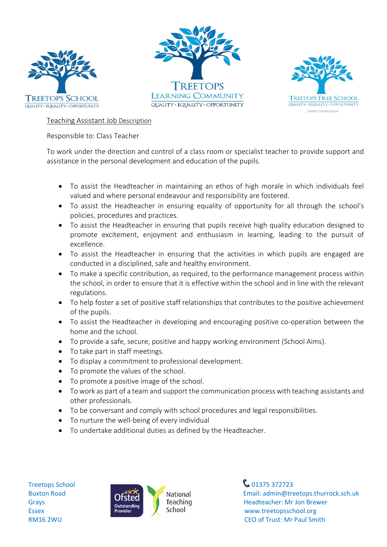





Teaching Assistant Job Description

Responsible to: Class Teacher

To work under the direction and control of a class room or specialist teacher to provide support and assistance in the personal development and education of the pupils.

- To assist the Headteacher in maintaining an ethos of high morale in which individuals feel valued and where personal endeavour and responsibility are fostered.
- To assist the Headteacher in ensuring equality of opportunity for all through the school's policies, procedures and practices.
- To assist the Headteacher in ensuring that pupils receive high quality education designed to promote excitement, enjoyment and enthusiasm in learning, leading to the pursuit of excellence.
- To assist the Headteacher in ensuring that the activities in which pupils are engaged are conducted in a disciplined, safe and healthy environment.
- To make a specific contribution, as required, to the performance management process within the school, in order to ensure that it is effective within the school and in line with the relevant regulations.
- To help foster a set of positive staff relationships that contributes to the positive achievement of the pupils.
- To assist the Headteacher in developing and encouraging positive co-operation between the home and the school.
- To provide a safe, secure, positive and happy working environment (School Aims).
- To take part in staff meetings.
- To display a commitment to professional development.
- To promote the values of the school.
- To promote a positive image of the school.
- To work as part of a team and support the communication process with teaching assistants and other professionals.
- To be conversant and comply with school procedures and legal responsibilities.
- To nurture the well-being of every individual
- To undertake additional duties as defined by the Headteacher.



Buxton Road **Email:** admin@treetops.thurrock.sch.uk Grays CISLECT Teaching Teaching Headteacher: Mr Jon Brewer<br>
Fiscex Francischool School School May treetonsschool org RM16 2WU CEO of Trust: Mr Paul Smith